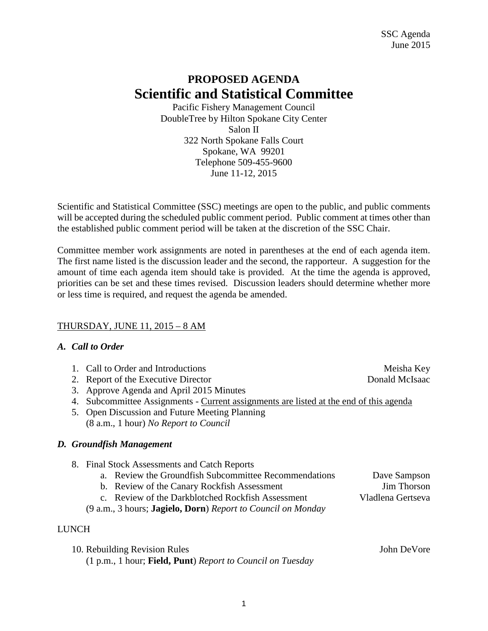## **PROPOSED AGENDA Scientific and Statistical Committee**

Pacific Fishery Management Council DoubleTree by Hilton Spokane City Center Salon II 322 North Spokane Falls Court Spokane, WA 99201 Telephone 509-455-9600 June 11-12, 2015

Scientific and Statistical Committee (SSC) meetings are open to the public, and public comments will be accepted during the scheduled public comment period. Public comment at times other than the established public comment period will be taken at the discretion of the SSC Chair.

Committee member work assignments are noted in parentheses at the end of each agenda item. The first name listed is the discussion leader and the second, the rapporteur. A suggestion for the amount of time each agenda item should take is provided. At the time the agenda is approved, priorities can be set and these times revised. Discussion leaders should determine whether more or less time is required, and request the agenda be amended.

## THURSDAY, JUNE 11, 2015 – 8 AM

## *A. Call to Order*

- 1. Call to Order and Introductions and the service of the Meisha Key
- 2. Report of the Executive Director Donald McIsaac
- 3. Approve Agenda and April 2015 Minutes
- 4. Subcommittee Assignments Current assignments are listed at the end of this agenda
- 5. Open Discussion and Future Meeting Planning (8 a.m., 1 hour) *No Report to Council*

## *D. Groundfish Management*

- 8. Final Stock Assessments and Catch Reports
	- a. Review the Groundfish Subcommittee Recommendations Dave Sampson
	- b. Review of the Canary Rockfish Assessment Jim Thorson
		-
	- c. Review of the Darkblotched Rockfish Assessment Vladlena Gertseva (9 a.m., 3 hours; **Jagielo, Dorn**) *Report to Council on Monday*

## LUNCH

| 10. Rebuilding Revision Rules                              | John DeVore |
|------------------------------------------------------------|-------------|
| (1 p.m., 1 hour; Field, Punt) Report to Council on Tuesday |             |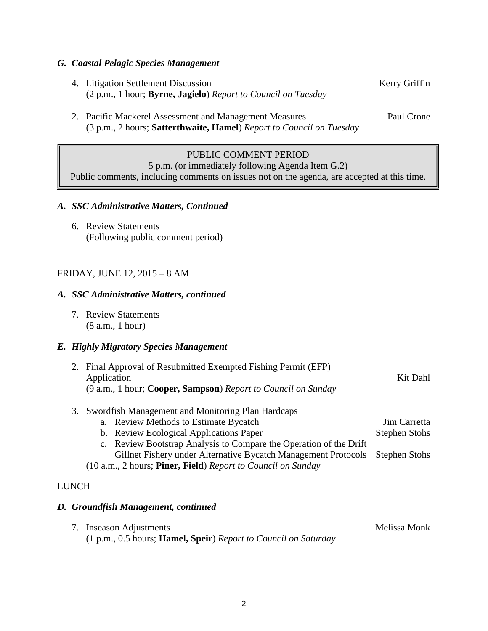#### *G. Coastal Pelagic Species Management*

- 4. Litigation Settlement Discussion Kerry Griffin (2 p.m., 1 hour; **Byrne, Jagielo**) *Report to Council on Tuesday*
- 2. Pacific Mackerel Assessment and Management Measures Paul Crone (3 p.m., 2 hours; **Satterthwaite, Hamel**) *Report to Council on Tuesday*

## PUBLIC COMMENT PERIOD

5 p.m. (or immediately following Agenda Item G.2)

Public comments, including comments on issues not on the agenda, are accepted at this time.

#### *A. SSC Administrative Matters, Continued*

6. Review Statements (Following public comment period)

#### FRIDAY, JUNE 12, 2015 – 8 AM

#### *A. SSC Administrative Matters, continued*

7. Review Statements (8 a.m., 1 hour)

#### *E. Highly Migratory Species Management*

| 2. Final Approval of Resubmitted Exempted Fishing Permit (EFP)<br>Application<br>(9 a.m., 1 hour; Cooper, Sampson) Report to Council on Sunday  | Kit Dahl                      |
|-------------------------------------------------------------------------------------------------------------------------------------------------|-------------------------------|
| 3. Swordfish Management and Monitoring Plan Hardcaps<br>$\mathbf{D}$ . $\mathbf{M}$ . $\mathbf{1}$ . $\mathbf{D}$ . $\mathbf{N}$ . $\mathbf{1}$ | $\mathbf{r}$ $\alpha$ $\beta$ |

- a. Review Methods to Estimate Bycatch Jim Carretta b. Review Ecological Applications Paper Stephen Stohs
- c. Review Bootstrap Analysis to Compare the Operation of the Drift Gillnet Fishery under Alternative Bycatch Management Protocols Stephen Stohs
- (10 a.m., 2 hours; **Piner, Field**) *Report to Council on Sunday*

#### LUNCH

#### *D. Groundfish Management, continued*

7. Inseason Adjustments Melissa Monk (1 p.m., 0.5 hours; **Hamel, Speir**) *Report to Council on Saturday*